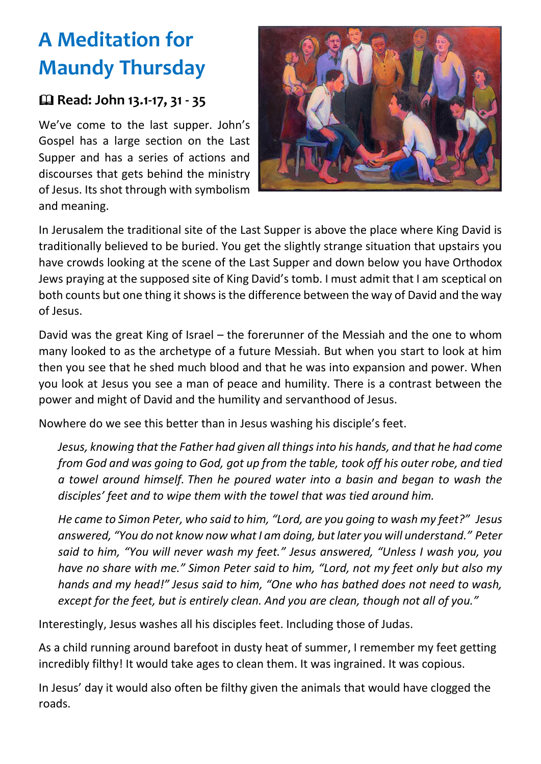## **A Meditation for Maundy Thursday**

## **Read: John 13.1-17, 31 - 35**

We've come to the last supper. John's Gospel has a large section on the Last Supper and has a series of actions and discourses that gets behind the ministry of Jesus. Its shot through with symbolism and meaning.



In Jerusalem the traditional site of the Last Supper is above the place where King David is traditionally believed to be buried. You get the slightly strange situation that upstairs you have crowds looking at the scene of the Last Supper and down below you have Orthodox Jews praying at the supposed site of King David's tomb. I must admit that I am sceptical on both counts but one thing it shows is the difference between the way of David and the way of Jesus.

David was the great King of Israel – the forerunner of the Messiah and the one to whom many looked to as the archetype of a future Messiah. But when you start to look at him then you see that he shed much blood and that he was into expansion and power. When you look at Jesus you see a man of peace and humility. There is a contrast between the power and might of David and the humility and servanthood of Jesus.

Nowhere do we see this better than in Jesus washing his disciple's feet.

*Jesus, knowing that the Father had given all things into his hands, and that he had come from God and was going to God, got up from the table, took off his outer robe, and tied a towel around himself. Then he poured water into a basin and began to wash the disciples' feet and to wipe them with the towel that was tied around him.*

*He came to Simon Peter, who said to him, "Lord, are you going to wash my feet?" Jesus answered, "You do not know now what I am doing, but later you will understand." Peter said to him, "You will never wash my feet." Jesus answered, "Unless I wash you, you have no share with me." Simon Peter said to him, "Lord, not my feet only but also my hands and my head!" Jesus said to him, "One who has bathed does not need to wash, except for the feet, but is entirely clean. And you are clean, though not all of you."*

Interestingly, Jesus washes all his disciples feet. Including those of Judas.

As a child running around barefoot in dusty heat of summer, I remember my feet getting incredibly filthy! It would take ages to clean them. It was ingrained. It was copious.

In Jesus' day it would also often be filthy given the animals that would have clogged the roads.